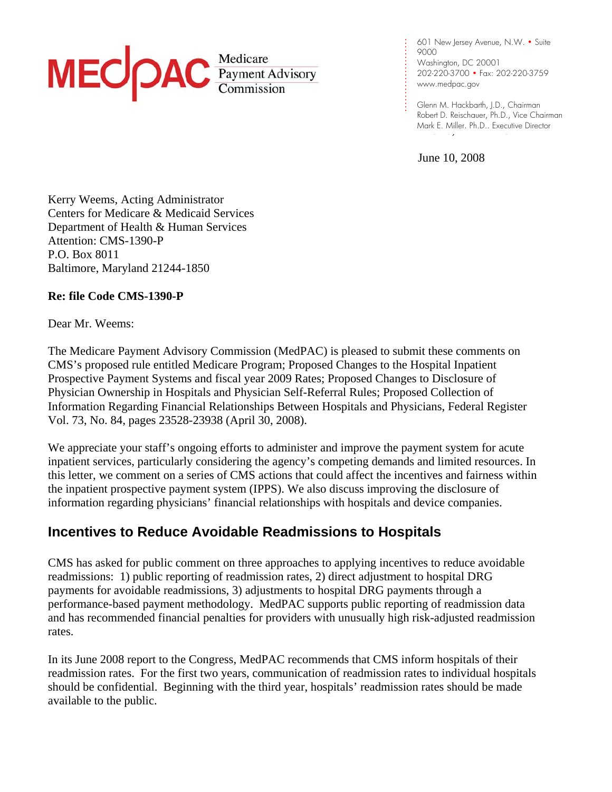# MEC *Payment Advisory*

601 New Jersey Avenue, N.W. • Suite 9000 Washington, DC 20001 202-220-3700 • Fax: 202-220-3759 [www.medpac.gov](http://www.medpac.gov)

e 10, 2 Mark E. Miller, Ph.D., Executive Director<br>The 10, 2 security parameters of the 10, 2 security parameters of the 10 security parameters of the 10 securit . . . . Glenn M. Hackbarth, J.D., Chairman Robert D. Reischauer, Ph.D., Vice Chairman

June 10, 2008

. . . .

. . . . . . . . . . . .

.

 Kerry Weems, Acting Administrator Centers for Medicare & Medicaid Services Department of Health & Human Services Attention: CMS-1390-P P.O. Box 8011 Baltimore, Maryland 21244-1850

#### **Re: file Code CMS-1390-P**

Dear Mr. Weems:

 The Medicare Payment Advisory Commission (MedPAC) is pleased to submit these comments on CMS's proposed rule entitled Medicare Program; Proposed Changes to the Hospital Inpatient Prospective Payment Systems and fiscal year 2009 Rates; Proposed Changes to Disclosure of Physician Ownership in Hospitals and Physician Self-Referral Rules; Proposed Collection of Information Regarding Financial Relationships Between Hospitals and Physicians, Federal Register Vol. 73, No. 84, pages 23528-23938 (April 30, 2008).

 We appreciate your staff's ongoing efforts to administer and improve the payment system for acute inpatient services, particularly considering the agency's competing demands and limited resources. In this letter, we comment on a series of CMS actions that could affect the incentives and fairness within the inpatient prospective payment system (IPPS). We also discuss improving the disclosure of information regarding physicians' financial relationships with hospitals and device companies.

# **Incentives to Reduce Avoidable Readmissions to Hospitals**

 CMS has asked for public comment on three approaches to applying incentives to reduce avoidable readmissions: 1) public reporting of readmission rates, 2) direct adjustment to hospital DRG payments for avoidable readmissions, 3) adjustments to hospital DRG payments through a performance-based payment methodology. MedPAC supports public reporting of readmission data and has recommended financial penalties for providers with unusually high risk-adjusted readmission rates.

 In its June 2008 report to the Congress, MedPAC recommends that CMS inform hospitals of their readmission rates. For the first two years, communication of readmission rates to individual hospitals should be confidential. Beginning with the third year, hospitals' readmission rates should be made available to the public.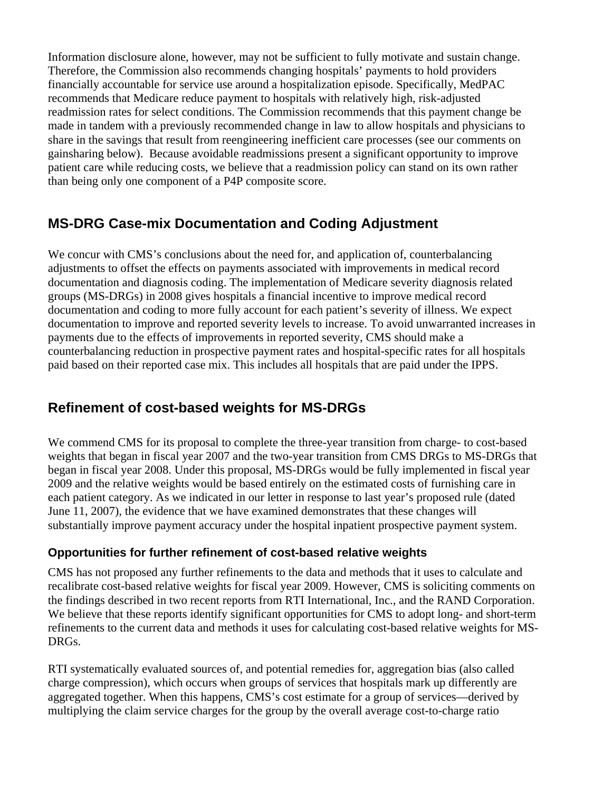Information disclosure alone, however, may not be sufficient to fully motivate and sustain change. Therefore, the Commission also recommends changing hospitals' payments to hold providers financially accountable for service use around a hospitalization episode. Specifically, MedPAC recommends that Medicare reduce payment to hospitals with relatively high, risk-adjusted readmission rates for select conditions. The Commission recommends that this payment change be made in tandem with a previously recommended change in law to allow hospitals and physicians to share in the savings that result from reengineering inefficient care processes (see our comments on gainsharing below). Because avoidable readmissions present a significant opportunity to improve patient care while reducing costs, we believe that a readmission policy can stand on its own rather than being only one component of a P4P composite score.

# **MS-DRG Case-mix Documentation and Coding Adjustment**

We concur with CMS's conclusions about the need for, and application of, counterbalancing adjustments to offset the effects on payments associated with improvements in medical record documentation and diagnosis coding. The implementation of Medicare severity diagnosis related groups (MS-DRGs) in 2008 gives hospitals a financial incentive to improve medical record documentation and coding to more fully account for each patient's severity of illness. We expect documentation to improve and reported severity levels to increase. To avoid unwarranted increases in payments due to the effects of improvements in reported severity, CMS should make a counterbalancing reduction in prospective payment rates and hospital-specific rates for all hospitals paid based on their reported case mix. This includes all hospitals that are paid under the IPPS.

# **Refinement of cost-based weights for MS-DRGs**

 We commend CMS for its proposal to complete the three-year transition from charge- to cost-based weights that began in fiscal year 2007 and the two-year transition from CMS DRGs to MS-DRGs that began in fiscal year 2008. Under this proposal, MS-DRGs would be fully implemented in fiscal year 2009 and the relative weights would be based entirely on the estimated costs of furnishing care in each patient category. As we indicated in our letter in response to last year's proposed rule (dated June 11, 2007), the evidence that we have examined demonstrates that these changes will substantially improve payment accuracy under the hospital inpatient prospective payment system.

#### **Opportunities for further refinement of cost-based relative weights**

 CMS has not proposed any further refinements to the data and methods that it uses to calculate and recalibrate cost-based relative weights for fiscal year 2009. However, CMS is soliciting comments on the findings described in two recent reports from RTI International, Inc., and the RAND Corporation. We believe that these reports identify significant opportunities for CMS to adopt long- and short-term refinements to the current data and methods it uses for calculating cost-based relative weights for MS- DRGs.

 RTI systematically evaluated sources of, and potential remedies for, aggregation bias (also called charge compression), which occurs when groups of services that hospitals mark up differently are aggregated together. When this happens, CMS's cost estimate for a group of services—derived by multiplying the claim service charges for the group by the overall average cost-to-charge ratio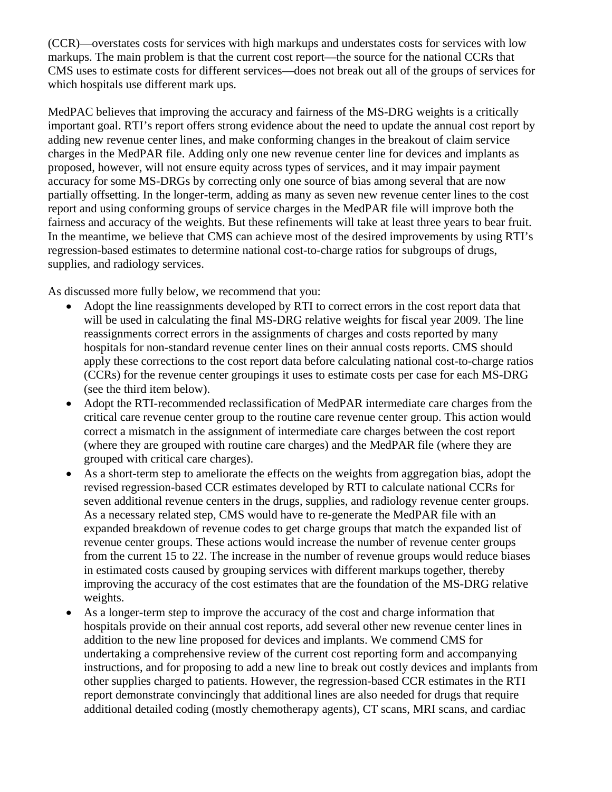(CCR)—overstates costs for services with high markups and understates costs for services with low markups. The main problem is that the current cost report—the source for the national CCRs that CMS uses to estimate costs for different services—does not break out all of the groups of services for which hospitals use different mark ups.

 MedPAC believes that improving the accuracy and fairness of the MS-DRG weights is a critically important goal. RTI's report offers strong evidence about the need to update the annual cost report by adding new revenue center lines, and make conforming changes in the breakout of claim service charges in the MedPAR file. Adding only one new revenue center line for devices and implants as proposed, however, will not ensure equity across types of services, and it may impair payment accuracy for some MS-DRGs by correcting only one source of bias among several that are now partially offsetting. In the longer-term, adding as many as seven new revenue center lines to the cost report and using conforming groups of service charges in the MedPAR file will improve both the fairness and accuracy of the weights. But these refinements will take at least three years to bear fruit. In the meantime, we believe that CMS can achieve most of the desired improvements by using RTI's regression-based estimates to determine national cost-to-charge ratios for subgroups of drugs, supplies, and radiology services.

As discussed more fully below, we recommend that you:

- Adopt the line reassignments developed by RTI to correct errors in the cost report data that will be used in calculating the final MS-DRG relative weights for fiscal year 2009. The line reassignments correct errors in the assignments of charges and costs reported by many hospitals for non-standard revenue center lines on their annual costs reports. CMS should apply these corrections to the cost report data before calculating national cost-to-charge ratios (CCRs) for the revenue center groupings it uses to estimate costs per case for each MS-DRG (see the third item below).
- Adopt the RTI-recommended reclassification of MedPAR intermediate care charges from the critical care revenue center group to the routine care revenue center group. This action would correct a mismatch in the assignment of intermediate care charges between the cost report (where they are grouped with routine care charges) and the MedPAR file (where they are grouped with critical care charges).
- As a short-term step to ameliorate the effects on the weights from aggregation bias, adopt the revised regression-based CCR estimates developed by RTI to calculate national CCRs for seven additional revenue centers in the drugs, supplies, and radiology revenue center groups. As a necessary related step, CMS would have to re-generate the MedPAR file with an expanded breakdown of revenue codes to get charge groups that match the expanded list of revenue center groups. These actions would increase the number of revenue center groups from the current 15 to 22. The increase in the number of revenue groups would reduce biases in estimated costs caused by grouping services with different markups together, thereby improving the accuracy of the cost estimates that are the foundation of the MS-DRG relative weights.
- As a longer-term step to improve the accuracy of the cost and charge information that hospitals provide on their annual cost reports, add several other new revenue center lines in addition to the new line proposed for devices and implants. We commend CMS for undertaking a comprehensive review of the current cost reporting form and accompanying instructions, and for proposing to add a new line to break out costly devices and implants from other supplies charged to patients. However, the regression-based CCR estimates in the RTI report demonstrate convincingly that additional lines are also needed for drugs that require additional detailed coding (mostly chemotherapy agents), CT scans, MRI scans, and cardiac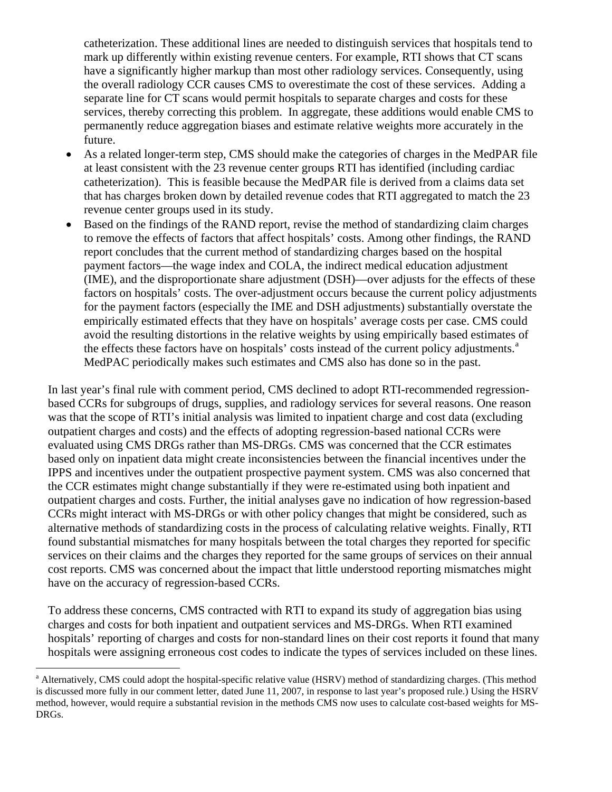catheterization. These additional lines are needed to distinguish services that hospitals tend to mark up differently within existing revenue centers. For example, RTI shows that CT scans have a significantly higher markup than most other radiology services. Consequently, using the overall radiology CCR causes CMS to overestimate the cost of these services. Adding a separate line for CT scans would permit hospitals to separate charges and costs for these services, thereby correcting this problem. In aggregate, these additions would enable CMS to permanently reduce aggregation biases and estimate relative weights more accurately in the future.

- As a related longer-term step, CMS should make the categories of charges in the MedPAR file at least consistent with the 23 revenue center groups RTI has identified (including cardiac catheterization). This is feasible because the MedPAR file is derived from a claims data set that has charges broken down by detailed revenue codes that RTI aggregated to match the 23 revenue center groups used in its study.
- Based on the findings of the RAND report, revise the method of standardizing claim charges to remove the effects of factors that affect hospitals' costs. Among other findings, the RAND report concludes that the current method of standardizing charges based on the hospital payment factors—the wage index and COLA, the indirect medical education adjustment (IME), and the disproportionate share adjustment (DSH)—over adjusts for the effects of these factors on hospitals' costs. The over-adjustment occurs because the current policy adjustments for the payment factors (especially the IME and DSH adjustments) substantially overstate the empirically estimated effects that they have on hospitals' average costs per case. CMS could avoid the resulting distortions in the relative weights by using empirically based estimates of the effects these f[a](#page-3-0)ctors have on hospitals' costs instead of the current policy adjustments.<sup>a</sup> MedPAC periodically makes such estimates and CMS also has done so in the past.

 In last year's final rule with comment period, CMS declined to adopt RTI-recommended regression based CCRs for subgroups of drugs, supplies, and radiology services for several reasons. One reason was that the scope of RTI's initial analysis was limited to inpatient charge and cost data (excluding outpatient charges and costs) and the effects of adopting regression-based national CCRs were evaluated using CMS DRGs rather than MS-DRGs. CMS was concerned that the CCR estimates based only on inpatient data might create inconsistencies between the financial incentives under the IPPS and incentives under the outpatient prospective payment system. CMS was also concerned that the CCR estimates might change substantially if they were re-estimated using both inpatient and outpatient charges and costs. Further, the initial analyses gave no indication of how regression-based CCRs might interact with MS-DRGs or with other policy changes that might be considered, such as alternative methods of standardizing costs in the process of calculating relative weights. Finally, RTI found substantial mismatches for many hospitals between the total charges they reported for specific services on their claims and the charges they reported for the same groups of services on their annual cost reports. CMS was concerned about the impact that little understood reporting mismatches might have on the accuracy of regression-based CCRs.

 To address these concerns, CMS contracted with RTI to expand its study of aggregation bias using charges and costs for both inpatient and outpatient services and MS-DRGs. When RTI examined hospitals' reporting of charges and costs for non-standard lines on their cost reports it found that many hospitals were assigning erroneous cost codes to indicate the types of services included on these lines.

 $\overline{a}$ 

<span id="page-3-0"></span><sup>&</sup>lt;sup>a</sup> Alternatively, CMS could adopt the hospital-specific relative value (HSRV) method of standardizing charges. (This method is discussed more fully in our comment letter, dated June 11, 2007, in response to last year's proposed rule.) Using the HSRV method, however, would require a substantial revision in the methods CMS now uses to calculate cost-based weights for MS-DRGs.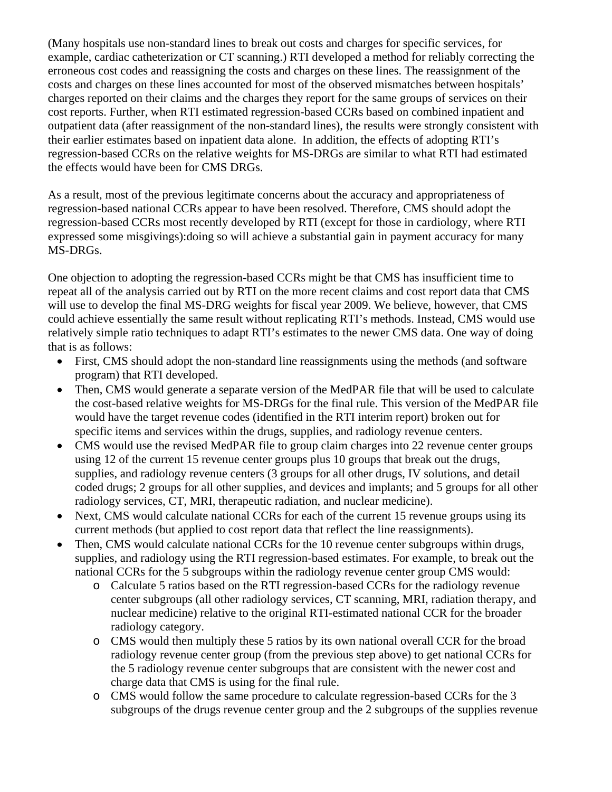(Many hospitals use non-standard lines to break out costs and charges for specific services, for example, cardiac catheterization or CT scanning.) RTI developed a method for reliably correcting the erroneous cost codes and reassigning the costs and charges on these lines. The reassignment of the costs and charges on these lines accounted for most of the observed mismatches between hospitals' charges reported on their claims and the charges they report for the same groups of services on their cost reports. Further, when RTI estimated regression-based CCRs based on combined inpatient and outpatient data (after reassignment of the non-standard lines), the results were strongly consistent with their earlier estimates based on inpatient data alone. In addition, the effects of adopting RTI's regression-based CCRs on the relative weights for MS-DRGs are similar to what RTI had estimated the effects would have been for CMS DRGs.

 As a result, most of the previous legitimate concerns about the accuracy and appropriateness of regression-based national CCRs appear to have been resolved. Therefore, CMS should adopt the regression-based CCRs most recently developed by RTI (except for those in cardiology, where RTI expressed some misgivings):doing so will achieve a substantial gain in payment accuracy for many MS-DRGs.

 One objection to adopting the regression-based CCRs might be that CMS has insufficient time to repeat all of the analysis carried out by RTI on the more recent claims and cost report data that CMS will use to develop the final MS-DRG weights for fiscal year 2009. We believe, however, that CMS could achieve essentially the same result without replicating RTI's methods. Instead, CMS would use relatively simple ratio techniques to adapt RTI's estimates to the newer CMS data. One way of doing that is as follows:

- First, CMS should adopt the non-standard line reassignments using the methods (and software program) that RTI developed.
- Then, CMS would generate a separate version of the MedPAR file that will be used to calculate the cost-based relative weights for MS-DRGs for the final rule. This version of the MedPAR file would have the target revenue codes (identified in the RTI interim report) broken out for specific items and services within the drugs, supplies, and radiology revenue centers.
- CMS would use the revised MedPAR file to group claim charges into 22 revenue center groups using 12 of the current 15 revenue center groups plus 10 groups that break out the drugs, supplies, and radiology revenue centers (3 groups for all other drugs, IV solutions, and detail coded drugs; 2 groups for all other supplies, and devices and implants; and 5 groups for all other radiology services, CT, MRI, therapeutic radiation, and nuclear medicine).
- Next, CMS would calculate national CCRs for each of the current 15 revenue groups using its current methods (but applied to cost report data that reflect the line reassignments).
- Then, CMS would calculate national CCRs for the 10 revenue center subgroups within drugs, supplies, and radiology using the RTI regression-based estimates. For example, to break out the national CCRs for the 5 subgroups within the radiology revenue center group CMS would:
	- o Calculate 5 ratios based on the RTI regression-based CCRs for the radiology revenue center subgroups (all other radiology services, CT scanning, MRI, radiation therapy, and nuclear medicine) relative to the original RTI-estimated national CCR for the broader radiology category.
	- o CMS would then multiply these 5 ratios by its own national overall CCR for the broad radiology revenue center group (from the previous step above) to get national CCRs for the 5 radiology revenue center subgroups that are consistent with the newer cost and charge data that CMS is using for the final rule.
	- o CMS would follow the same procedure to calculate regression-based CCRs for the 3 subgroups of the drugs revenue center group and the 2 subgroups of the supplies revenue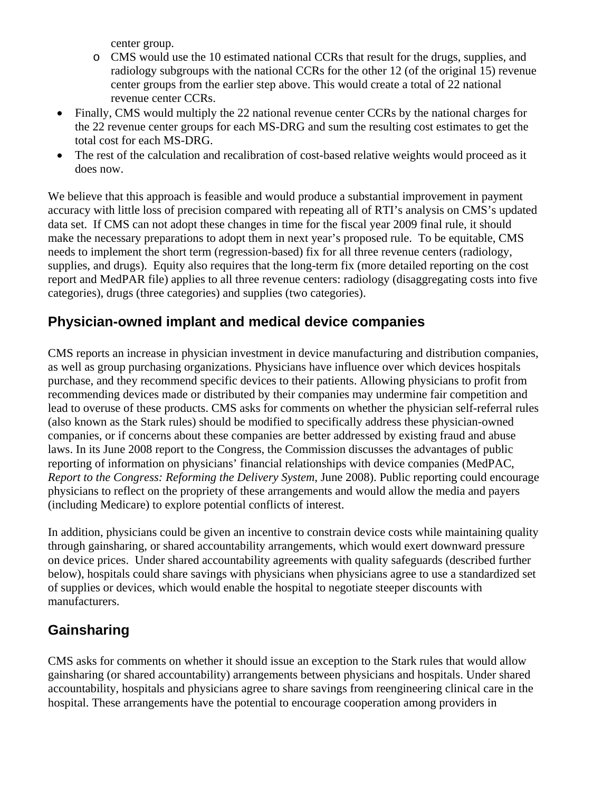center group.

- o CMS would use the 10 estimated national CCRs that result for the drugs, supplies, and radiology subgroups with the national CCRs for the other 12 (of the original 15) revenue center groups from the earlier step above. This would create a total of 22 national revenue center CCRs.
- Finally, CMS would multiply the 22 national revenue center CCRs by the national charges for the 22 revenue center groups for each MS-DRG and sum the resulting cost estimates to get the total cost for each MS-DRG.
- The rest of the calculation and recalibration of cost-based relative weights would proceed as it does now.

 We believe that this approach is feasible and would produce a substantial improvement in payment accuracy with little loss of precision compared with repeating all of RTI's analysis on CMS's updated data set. If CMS can not adopt these changes in time for the fiscal year 2009 final rule, it should make the necessary preparations to adopt them in next year's proposed rule. To be equitable, CMS needs to implement the short term (regression-based) fix for all three revenue centers (radiology, supplies, and drugs). Equity also requires that the long-term fix (more detailed reporting on the cost report and MedPAR file) applies to all three revenue centers: radiology (disaggregating costs into five categories), drugs (three categories) and supplies (two categories).

## **Physician-owned implant and medical device companies**

 CMS reports an increase in physician investment in device manufacturing and distribution companies, as well as group purchasing organizations. Physicians have influence over which devices hospitals purchase, and they recommend specific devices to their patients. Allowing physicians to profit from recommending devices made or distributed by their companies may undermine fair competition and lead to overuse of these products. CMS asks for comments on whether the physician self-referral rules (also known as the Stark rules) should be modified to specifically address these physician-owned companies, or if concerns about these companies are better addressed by existing fraud and abuse laws. In its June 2008 report to the Congress, the Commission discusses the advantages of public reporting of information on physicians' financial relationships with device companies (MedPAC, *Report to the Congress: Reforming the Delivery System*, June 2008). Public reporting could encourage physicians to reflect on the propriety of these arrangements and would allow the media and payers (including Medicare) to explore potential conflicts of interest.

 In addition, physicians could be given an incentive to constrain device costs while maintaining quality through gainsharing, or shared accountability arrangements, which would exert downward pressure on device prices. Under shared accountability agreements with quality safeguards (described further below), hospitals could share savings with physicians when physicians agree to use a standardized set of supplies or devices, which would enable the hospital to negotiate steeper discounts with manufacturers.

# **Gainsharing**

 CMS asks for comments on whether it should issue an exception to the Stark rules that would allow gainsharing (or shared accountability) arrangements between physicians and hospitals. Under shared accountability, hospitals and physicians agree to share savings from reengineering clinical care in the hospital. These arrangements have the potential to encourage cooperation among providers in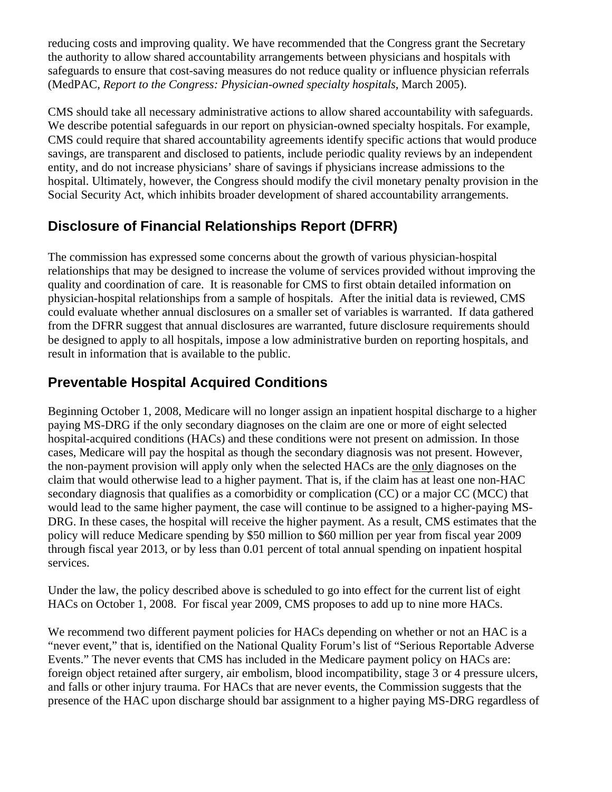reducing costs and improving quality. We have recommended that the Congress grant the Secretary the authority to allow shared accountability arrangements between physicians and hospitals with safeguards to ensure that cost-saving measures do not reduce quality or influence physician referrals (MedPAC, *Report to the Congress: Physician-owned specialty hospitals*, March 2005).

 CMS should take all necessary administrative actions to allow shared accountability with safeguards. We describe potential safeguards in our report on physician-owned specialty hospitals. For example, CMS could require that shared accountability agreements identify specific actions that would produce savings, are transparent and disclosed to patients, include periodic quality reviews by an independent entity, and do not increase physicians' share of savings if physicians increase admissions to the hospital. Ultimately, however, the Congress should modify the civil monetary penalty provision in the Social Security Act, which inhibits broader development of shared accountability arrangements.

# **Disclosure of Financial Relationships Report (DFRR)**

 The commission has expressed some concerns about the growth of various physician-hospital relationships that may be designed to increase the volume of services provided without improving the quality and coordination of care. It is reasonable for CMS to first obtain detailed information on physician-hospital relationships from a sample of hospitals. After the initial data is reviewed, CMS could evaluate whether annual disclosures on a smaller set of variables is warranted. If data gathered from the DFRR suggest that annual disclosures are warranted, future disclosure requirements should be designed to apply to all hospitals, impose a low administrative burden on reporting hospitals, and result in information that is available to the public.

# **Preventable Hospital Acquired Conditions**

 Beginning October 1, 2008, Medicare will no longer assign an inpatient hospital discharge to a higher paying MS-DRG if the only secondary diagnoses on the claim are one or more of eight selected hospital-acquired conditions (HACs) and these conditions were not present on admission. In those cases, Medicare will pay the hospital as though the secondary diagnosis was not present. However, the non-payment provision will apply only when the selected HACs are the only diagnoses on the claim that would otherwise lead to a higher payment. That is, if the claim has at least one non-HAC secondary diagnosis that qualifies as a comorbidity or complication (CC) or a major CC (MCC) that would lead to the same higher payment, the case will continue to be assigned to a higher-paying MS- DRG. In these cases, the hospital will receive the higher payment. As a result, CMS estimates that the policy will reduce Medicare spending by \$50 million to \$60 million per year from fiscal year 2009 through fiscal year 2013, or by less than 0.01 percent of total annual spending on inpatient hospital services.

 Under the law, the policy described above is scheduled to go into effect for the current list of eight HACs on October 1, 2008. For fiscal year 2009, CMS proposes to add up to nine more HACs.

We recommend two different payment policies for HACs depending on whether or not an HAC is a "never event," that is, identified on the National Quality Forum's list of "Serious Reportable Adverse Events." The never events that CMS has included in the Medicare payment policy on HACs are: foreign object retained after surgery, air embolism, blood incompatibility, stage 3 or 4 pressure ulcers, and falls or other injury trauma. For HACs that are never events, the Commission suggests that the presence of the HAC upon discharge should bar assignment to a higher paying MS-DRG regardless of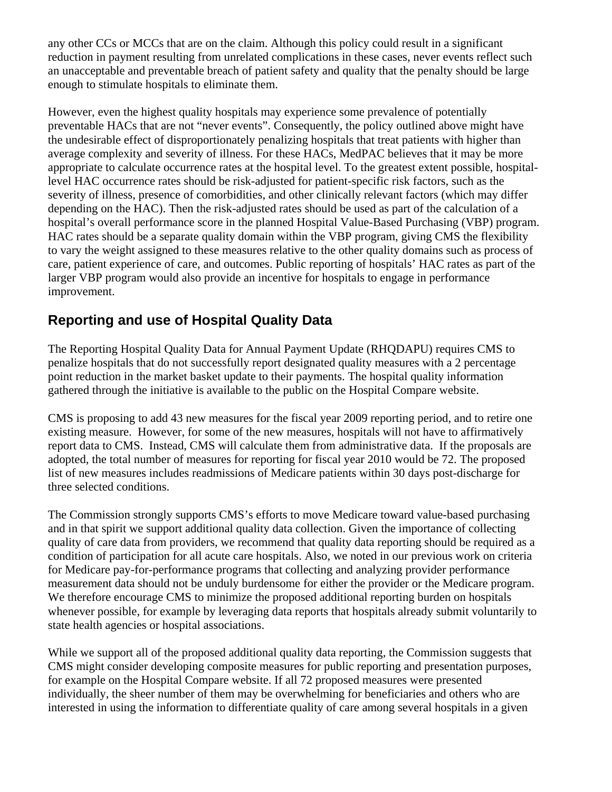any other CCs or MCCs that are on the claim. Although this policy could result in a significant reduction in payment resulting from unrelated complications in these cases, never events reflect such an unacceptable and preventable breach of patient safety and quality that the penalty should be large enough to stimulate hospitals to eliminate them.

 However, even the highest quality hospitals may experience some prevalence of potentially preventable HACs that are not "never events". Consequently, the policy outlined above might have the undesirable effect of disproportionately penalizing hospitals that treat patients with higher than average complexity and severity of illness. For these HACs, MedPAC believes that it may be more appropriate to calculate occurrence rates at the hospital level. To the greatest extent possible, hospital level HAC occurrence rates should be risk-adjusted for patient-specific risk factors, such as the severity of illness, presence of comorbidities, and other clinically relevant factors (which may differ depending on the HAC). Then the risk-adjusted rates should be used as part of the calculation of a hospital's overall performance score in the planned Hospital Value-Based Purchasing (VBP) program. HAC rates should be a separate quality domain within the VBP program, giving CMS the flexibility to vary the weight assigned to these measures relative to the other quality domains such as process of care, patient experience of care, and outcomes. Public reporting of hospitals' HAC rates as part of the larger VBP program would also provide an incentive for hospitals to engage in performance improvement.

# **Reporting and use of Hospital Quality Data**

 The Reporting Hospital Quality Data for Annual Payment Update (RHQDAPU) requires CMS to penalize hospitals that do not successfully report designated quality measures with a 2 percentage point reduction in the market basket update to their payments. The hospital quality information gathered through the initiative is available to the public on the Hospital Compare website.

 CMS is proposing to add 43 new measures for the fiscal year 2009 reporting period, and to retire one existing measure. However, for some of the new measures, hospitals will not have to affirmatively report data to CMS. Instead, CMS will calculate them from administrative data. If the proposals are adopted, the total number of measures for reporting for fiscal year 2010 would be 72. The proposed list of new measures includes readmissions of Medicare patients within 30 days post-discharge for three selected conditions.

 The Commission strongly supports CMS's efforts to move Medicare toward value-based purchasing and in that spirit we support additional quality data collection. Given the importance of collecting quality of care data from providers, we recommend that quality data reporting should be required as a condition of participation for all acute care hospitals. Also, we noted in our previous work on criteria for Medicare pay-for-performance programs that collecting and analyzing provider performance measurement data should not be unduly burdensome for either the provider or the Medicare program. We therefore encourage CMS to minimize the proposed additional reporting burden on hospitals whenever possible, for example by leveraging data reports that hospitals already submit voluntarily to state health agencies or hospital associations.

 While we support all of the proposed additional quality data reporting, the Commission suggests that CMS might consider developing composite measures for public reporting and presentation purposes, for example on the Hospital Compare website. If all 72 proposed measures were presented individually, the sheer number of them may be overwhelming for beneficiaries and others who are interested in using the information to differentiate quality of care among several hospitals in a given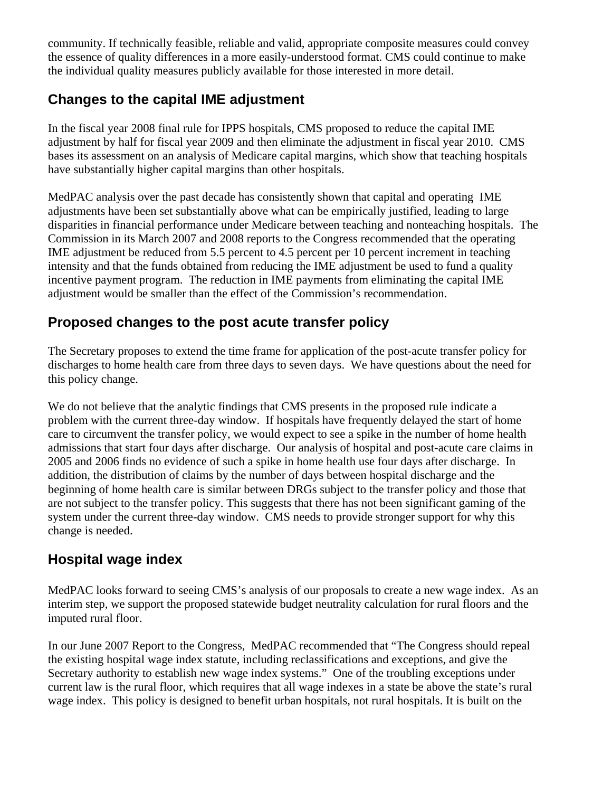community. If technically feasible, reliable and valid, appropriate composite measures could convey the essence of quality differences in a more easily-understood format. CMS could continue to make the individual quality measures publicly available for those interested in more detail.

# **Changes to the capital IME adjustment**

 In the fiscal year 2008 final rule for IPPS hospitals, CMS proposed to reduce the capital IME adjustment by half for fiscal year 2009 and then eliminate the adjustment in fiscal year 2010. CMS bases its assessment on an analysis of Medicare capital margins, which show that teaching hospitals have substantially higher capital margins than other hospitals.

 MedPAC analysis over the past decade has consistently shown that capital and operating IME adjustments have been set substantially above what can be empirically justified, leading to large disparities in financial performance under Medicare between teaching and nonteaching hospitals. The Commission in its March 2007 and 2008 reports to the Congress recommended that the operating IME adjustment be reduced from 5.5 percent to 4.5 percent per 10 percent increment in teaching intensity and that the funds obtained from reducing the IME adjustment be used to fund a quality incentive payment program. The reduction in IME payments from eliminating the capital IME adjustment would be smaller than the effect of the Commission's recommendation.

## **Proposed changes to the post acute transfer policy**

 The Secretary proposes to extend the time frame for application of the post-acute transfer policy for discharges to home health care from three days to seven days. We have questions about the need for this policy change.

We do not believe that the analytic findings that CMS presents in the proposed rule indicate a problem with the current three-day window. If hospitals have frequently delayed the start of home care to circumvent the transfer policy, we would expect to see a spike in the number of home health admissions that start four days after discharge. Our analysis of hospital and post-acute care claims in 2005 and 2006 finds no evidence of such a spike in home health use four days after discharge. In addition, the distribution of claims by the number of days between hospital discharge and the beginning of home health care is similar between DRGs subject to the transfer policy and those that are not subject to the transfer policy. This suggests that there has not been significant gaming of the system under the current three-day window. CMS needs to provide stronger support for why this change is needed.

# **Hospital wage index**

 MedPAC looks forward to seeing CMS's analysis of our proposals to create a new wage index. As an interim step, we support the proposed statewide budget neutrality calculation for rural floors and the imputed rural floor.

 In our June 2007 Report to the Congress, MedPAC recommended that "The Congress should repeal the existing hospital wage index statute, including reclassifications and exceptions, and give the Secretary authority to establish new wage index systems." One of the troubling exceptions under current law is the rural floor, which requires that all wage indexes in a state be above the state's rural wage index. This policy is designed to benefit urban hospitals, not rural hospitals. It is built on the